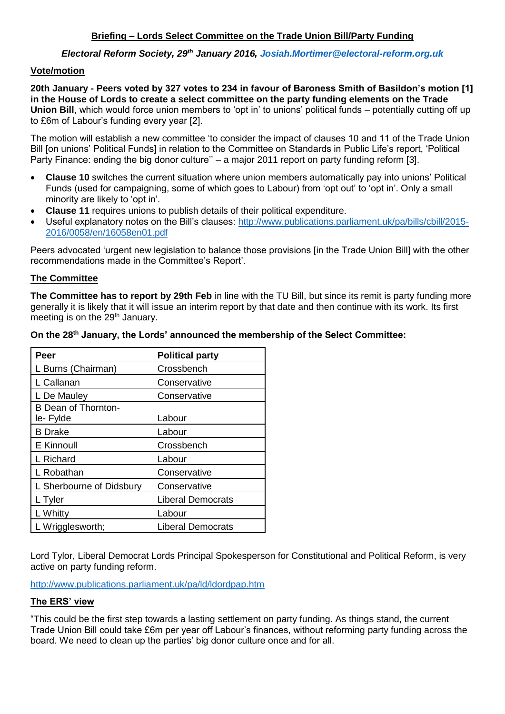## *Electoral Reform Society, 29th January 2016, [Josiah.Mortimer@electoral-reform.org.uk](mailto:Josiah.Mortimer@electoral-reform.org.uk)*

### **Vote/motion**

**20th January - Peers voted by 327 votes to 234 in favour of Baroness Smith of Basildon's motion [1] in the House of Lords to create a select committee on the party funding elements on the Trade Union Bill**, which would force union members to 'opt in' to unions' political funds – potentially cutting off up to £6m of Labour's funding every year [2].

The motion will establish a new committee 'to consider the impact of clauses 10 and 11 of the Trade Union Bill [on unions' Political Funds] in relation to the Committee on Standards in Public Life's report, 'Political Party Finance: ending the big donor culture'' – a major 2011 report on party funding reform [3].

- **Clause 10** switches the current situation where union members automatically pay into unions' Political Funds (used for campaigning, some of which goes to Labour) from 'opt out' to 'opt in'. Only a small minority are likely to 'opt in'.
- **Clause 11** requires unions to publish details of their political expenditure.
- Useful explanatory notes on the Bill's clauses: [http://www.publications.parliament.uk/pa/bills/cbill/2015-](http://www.publications.parliament.uk/pa/bills/cbill/2015-2016/0058/en/16058en01.pdf) [2016/0058/en/16058en01.pdf](http://www.publications.parliament.uk/pa/bills/cbill/2015-2016/0058/en/16058en01.pdf)

Peers advocated 'urgent new legislation to balance those provisions [in the Trade Union Bill] with the other recommendations made in the Committee's Report'.

## **The Committee**

**The Committee has to report by 29th Feb** in line with the TU Bill, but since its remit is party funding more generally it is likely that it will issue an interim report by that date and then continue with its work. Its first meeting is on the 29<sup>th</sup> January.

|  | On the 28 <sup>th</sup> January, the Lords' announced the membership of the Select Committee: |  |
|--|-----------------------------------------------------------------------------------------------|--|
|  |                                                                                               |  |

| Peer                     | <b>Political party</b>   |  |
|--------------------------|--------------------------|--|
| L Burns (Chairman)       | Crossbench               |  |
| L Callanan               | Conservative             |  |
| L De Mauley              | Conservative             |  |
| B Dean of Thornton-      |                          |  |
| le-Fylde                 | Labour                   |  |
| <b>B</b> Drake           | Labour                   |  |
| E Kinnoull               | Crossbench               |  |
| L Richard                | Labour                   |  |
| L Robathan               | Conservative             |  |
| L Sherbourne of Didsbury | Conservative             |  |
| L Tyler                  | <b>Liberal Democrats</b> |  |
| L Whitty                 | Labour                   |  |
| L Wrigglesworth;         | <b>Liberal Democrats</b> |  |

Lord Tylor, Liberal Democrat Lords Principal Spokesperson for Constitutional and Political Reform, is very active on party funding reform.

<http://www.publications.parliament.uk/pa/ld/ldordpap.htm>

### **The ERS' view**

"This could be the first step towards a lasting settlement on party funding. As things stand, the current Trade Union Bill could take £6m per year off Labour's finances, without reforming party funding across the board. We need to clean up the parties' big donor culture once and for all.